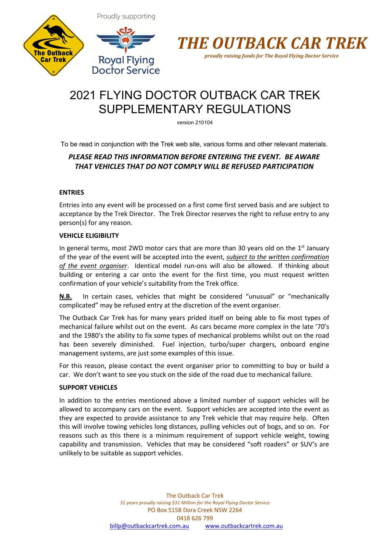





# 2021 FLYING DOCTOR OUTBACK CAR TREK SUPPLEMENTARY REGULATIONS

version 210104

To be read in conjunction with the Trek web site, various forms and other relevant materials.

# *PLEASE READ THIS INFORMATION BEFORE ENTERING THE EVENT. BE AWARE THAT VEHICLES THAT DO NOT COMPLY WILL BE REFUSED PARTICIPATION*

# **ENTRIES**

Entries into any event will be processed on a first come first served basis and are subject to acceptance by the Trek Director. The Trek Director reserves the right to refuse entry to any person(s) for any reason.

# **VEHICLE ELIGIBILITY**

In general terms, most 2WD motor cars that are more than 30 years old on the  $1<sup>st</sup>$  January of the year of the event will be accepted into the event, *subject to the written confirmation of the event organiser*. Identical model run-ons will also be allowed. If thinking about building or entering a car onto the event for the first time, you must request written confirmation of your vehicle's suitability from the Trek office.

**N.B.** In certain cases, vehicles that might be considered "unusual" or "mechanically complicated" may be refused entry at the discretion of the event organiser.

The Outback Car Trek has for many years prided itself on being able to fix most types of mechanical failure whilst out on the event. As cars became more complex in the late '70's and the 1980's the ability to fix some types of mechanical problems whilst out on the road has been severely diminished. Fuel injection, turbo/super chargers, onboard engine management systems, are just some examples of this issue.

For this reason, please contact the event organiser prior to committing to buy or build a car. We don't want to see you stuck on the side of the road due to mechanical failure.

# **SUPPORT VEHICLES**

In addition to the entries mentioned above a limited number of support vehicles will be allowed to accompany cars on the event. Support vehicles are accepted into the event as they are expected to provide assistance to any Trek vehicle that may require help. Often this will involve towing vehicles long distances, pulling vehicles out of bogs, and so on. For reasons such as this there is a minimum requirement of support vehicle weight, towing capability and transmission. Vehicles that may be considered "soft roaders" or SUV's are unlikely to be suitable as support vehicles.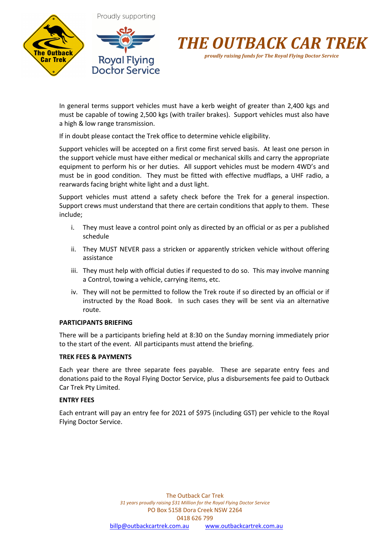



In general terms support vehicles must have a kerb weight of greater than 2,400 kgs and must be capable of towing 2,500 kgs (with trailer brakes). Support vehicles must also have a high & low range transmission.

If in doubt please contact the Trek office to determine vehicle eligibility.

Support vehicles will be accepted on a first come first served basis. At least one person in the support vehicle must have either medical or mechanical skills and carry the appropriate equipment to perform his or her duties. All support vehicles must be modern 4WD's and must be in good condition. They must be fitted with effective mudflaps, a UHF radio, a rearwards facing bright white light and a dust light.

Support vehicles must attend a safety check before the Trek for a general inspection. Support crews must understand that there are certain conditions that apply to them. These include;

- i. They must leave a control point only as directed by an official or as per a published schedule
- ii. They MUST NEVER pass a stricken or apparently stricken vehicle without offering assistance
- iii. They must help with official duties if requested to do so. This may involve manning a Control, towing a vehicle, carrying items, etc.
- iv. They will not be permitted to follow the Trek route if so directed by an official or if instructed by the Road Book. In such cases they will be sent via an alternative route.

## **PARTICIPANTS BRIEFING**

There will be a participants briefing held at 8:30 on the Sunday morning immediately prior to the start of the event. All participants must attend the briefing.

#### **TREK FEES & PAYMENTS**

Each year there are three separate fees payable. These are separate entry fees and donations paid to the Royal Flying Doctor Service, plus a disbursements fee paid to Outback Car Trek Pty Limited.

## **ENTRY FEES**

Each entrant will pay an entry fee for 2021 of \$975 (including GST) per vehicle to the Royal Flying Doctor Service.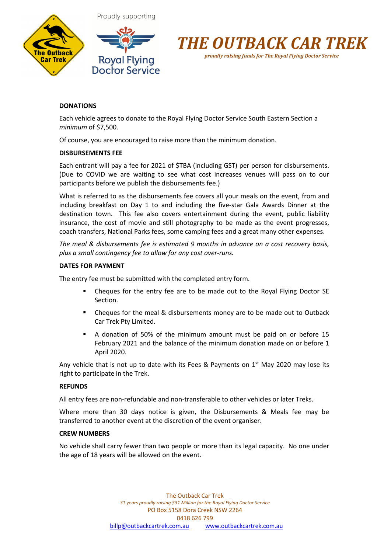





# *proudly raising funds for The Royal Flying Doctor Service*

# **DONATIONS**

Each vehicle agrees to donate to the Royal Flying Doctor Service South Eastern Section a *minimum* of \$7,500.

Of course, you are encouraged to raise more than the minimum donation.

## **DISBURSEMENTS FEE**

Each entrant will pay a fee for 2021 of \$TBA (including GST) per person for disbursements. (Due to COVID we are waiting to see what cost increases venues will pass on to our participants before we publish the disbursements fee.)

What is referred to as the disbursements fee covers all your meals on the event, from and including breakfast on Day 1 to and including the five-star Gala Awards Dinner at the destination town. This fee also covers entertainment during the event, public liability insurance, the cost of movie and still photography to be made as the event progresses, coach transfers, National Parks fees, some camping fees and a great many other expenses.

*The meal & disbursements fee is estimated 9 months in advance on a cost recovery basis, plus a small contingency fee to allow for any cost over-runs.*

## **DATES FOR PAYMENT**

The entry fee must be submitted with the completed entry form.

- § Cheques for the entry fee are to be made out to the Royal Flying Doctor SE Section.
- § Cheques for the meal & disbursements money are to be made out to Outback Car Trek Pty Limited.
- § A donation of 50% of the minimum amount must be paid on or before 15 February 2021 and the balance of the minimum donation made on or before 1 April 2020.

Any vehicle that is not up to date with its Fees & Payments on  $1<sup>st</sup>$  May 2020 may lose its right to participate in the Trek.

## **REFUNDS**

All entry fees are non-refundable and non-transferable to other vehicles or later Treks.

Where more than 30 days notice is given, the Disbursements & Meals fee may be transferred to another event at the discretion of the event organiser.

#### **CREW NUMBERS**

No vehicle shall carry fewer than two people or more than its legal capacity. No one under the age of 18 years will be allowed on the event.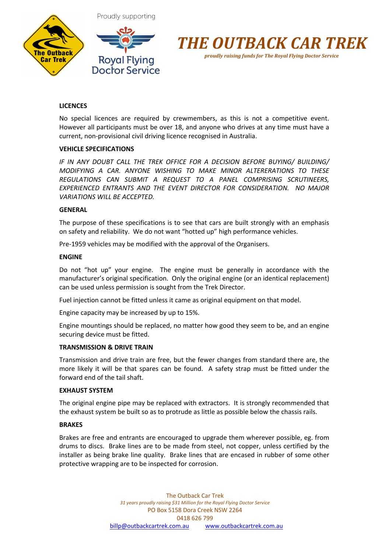



Proudly supporting



# **LICENCES**

No special licences are required by crewmembers, as this is not a competitive event. However all participants must be over 18, and anyone who drives at any time must have a current, non-provisional civil driving licence recognised in Australia.

#### **VEHICLE SPECIFICATIONS**

*IF IN ANY DOUBT CALL THE TREK OFFICE FOR A DECISION BEFORE BUYING/ BUILDING/ MODIFYING A CAR. ANYONE WISHING TO MAKE MINOR ALTERERATIONS TO THESE REGULATIONS CAN SUBMIT A REQUEST TO A PANEL COMPRISING SCRUTINEERS, EXPERIENCED ENTRANTS AND THE EVENT DIRECTOR FOR CONSIDERATION. NO MAJOR VARIATIONS WILL BE ACCEPTED.*

#### **GENERAL**

The purpose of these specifications is to see that cars are built strongly with an emphasis on safety and reliability. We do not want "hotted up" high performance vehicles.

Pre-1959 vehicles may be modified with the approval of the Organisers.

#### **ENGINE**

Do not "hot up" your engine. The engine must be generally in accordance with the manufacturer's original specification. Only the original engine (or an identical replacement) can be used unless permission is sought from the Trek Director.

Fuel injection cannot be fitted unless it came as original equipment on that model.

Engine capacity may be increased by up to 15%.

Engine mountings should be replaced, no matter how good they seem to be, and an engine securing device must be fitted.

#### **TRANSMISSION & DRIVE TRAIN**

Transmission and drive train are free, but the fewer changes from standard there are, the more likely it will be that spares can be found. A safety strap must be fitted under the forward end of the tail shaft.

#### **EXHAUST SYSTEM**

The original engine pipe may be replaced with extractors. It is strongly recommended that the exhaust system be built so as to protrude as little as possible below the chassis rails.

#### **BRAKES**

Brakes are free and entrants are encouraged to upgrade them wherever possible, eg. from drums to discs. Brake lines are to be made from steel, not copper, unless certified by the installer as being brake line quality. Brake lines that are encased in rubber of some other protective wrapping are to be inspected for corrosion.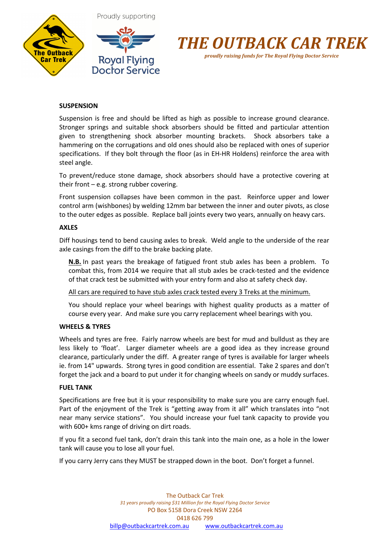





# **SUSPENSION**

Suspension is free and should be lifted as high as possible to increase ground clearance. Stronger springs and suitable shock absorbers should be fitted and particular attention given to strengthening shock absorber mounting brackets. Shock absorbers take a hammering on the corrugations and old ones should also be replaced with ones of superior specifications. If they bolt through the floor (as in EH-HR Holdens) reinforce the area with steel angle.

To prevent/reduce stone damage, shock absorbers should have a protective covering at their front – e.g. strong rubber covering.

Front suspension collapses have been common in the past. Reinforce upper and lower control arm (wishbones) by welding 12mm bar between the inner and outer pivots, as close to the outer edges as possible. Replace ball joints every two years, annually on heavy cars.

## **AXLES**

Diff housings tend to bend causing axles to break. Weld angle to the underside of the rear axle casings from the diff to the brake backing plate.

**N.B.** In past years the breakage of fatigued front stub axles has been a problem. To combat this, from 2014 we require that all stub axles be crack-tested and the evidence of that crack test be submitted with your entry form and also at safety check day.

All cars are required to have stub axles crack tested every 3 Treks at the minimum.

You should replace your wheel bearings with highest quality products as a matter of course every year. And make sure you carry replacement wheel bearings with you.

## **WHEELS & TYRES**

Wheels and tyres are free. Fairly narrow wheels are best for mud and bulldust as they are less likely to 'float'. Larger diameter wheels are a good idea as they increase ground clearance, particularly under the diff. A greater range of tyres is available for larger wheels ie. from 14" upwards. Strong tyres in good condition are essential. Take 2 spares and don't forget the jack and a board to put under it for changing wheels on sandy or muddy surfaces.

## **FUEL TANK**

Specifications are free but it is your responsibility to make sure you are carry enough fuel. Part of the enjoyment of the Trek is "getting away from it all" which translates into "not near many service stations". You should increase your fuel tank capacity to provide you with 600+ kms range of driving on dirt roads.

If you fit a second fuel tank, don't drain this tank into the main one, as a hole in the lower tank will cause you to lose all your fuel.

If you carry Jerry cans they MUST be strapped down in the boot. Don't forget a funnel.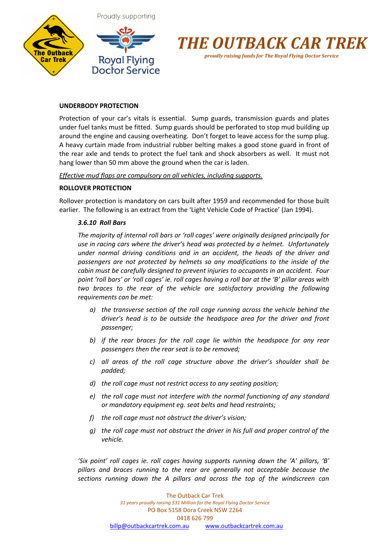



# **UNDERBODY PROTECTION**

Protection of your car's vitals is essential. Sump guards, transmission guards and plates under fuel tanks must be fitted. Sump guards should be perforated to stop mud building up around the engine and causing overheating. Don't forget to leave access for the sump plug. A heavy curtain made from industrial rubber belting makes a good stone guard in front of the rear axle and tends to protect the fuel tank and shock absorbers as well. It must not hang lower than 50 mm above the ground when the car is laden.

# *Effective mud flaps are compulsory on all vehicles, including supports.*

# **ROLLOVER PROTECTION**

Rollover protection is mandatory on cars built after 1959 and recommended for those built earlier. The following is an extract from the 'Light Vehicle Code of Practice' (Jan 1994).

# *3.6.10 Roll Bars*

*The majority of internal roll bars or 'roll cages' were originally designed principally for use in racing cars where the driver's head was protected by a helmet. Unfortunately under normal driving conditions and in an accident, the heads of the driver and passengers are not protected by helmets so any modifications to the inside of the cabin must be carefully designed to prevent injuries to occupants in an accident. Four point 'roll bars' or 'roll cages' ie. roll cages having a roll bar at the 'B' pillar areas with two braces to the rear of the vehicle are satisfactory providing the following requirements can be met:*

- *a) the transverse section of the roll cage running across the vehicle behind the driver's head is to be outside the headspace area for the driver and front passenger;*
- *b) if the rear braces for the roll cage lie within the headspace for any rear passengers then the rear seat is to be removed;*
- *c) all areas of the roll cage structure above the driver's shoulder shall be padded;*
- *d) the roll cage must not restrict access to any seating position;*
- *e) the roll cage must not interfere with the normal functioning of any standard or mandatory equipment eg. seat belts and head restraints;*
- *f) the roll cage must not obstruct the driver's vision;*
- *g) the roll cage must not obstruct the driver in his full and proper control of the vehicle.*

*'Six point' roll cages ie. roll cages having supports running down the 'A' pillars, 'B' pillars and braces running to the rear are generally not acceptable because the sections running down the A pillars and across the top of the windscreen can*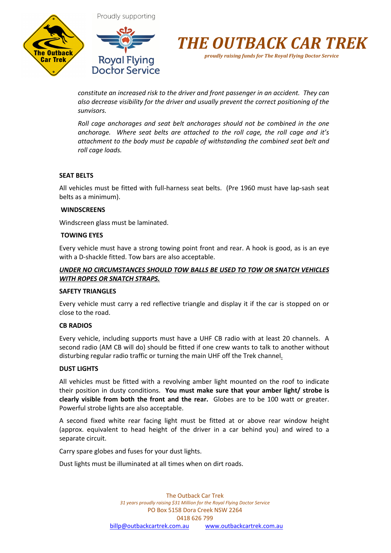





*constitute an increased risk to the driver and front passenger in an accident. They can also decrease visibility for the driver and usually prevent the correct positioning of the sunvisors.* 

*Roll cage anchorages and seat belt anchorages should not be combined in the one anchorage. Where seat belts are attached to the roll cage, the roll cage and it's attachment to the body must be capable of withstanding the combined seat belt and roll cage loads.*

## **SEAT BELTS**

All vehicles must be fitted with full-harness seat belts. (Pre 1960 must have lap-sash seat belts as a minimum).

#### **WINDSCREENS**

Windscreen glass must be laminated.

#### **TOWING EYES**

Every vehicle must have a strong towing point front and rear. A hook is good, as is an eye with a D-shackle fitted. Tow bars are also acceptable.

## *UNDER NO CIRCUMSTANCES SHOULD TOW BALLS BE USED TO TOW OR SNATCH VEHICLES WITH ROPES OR SNATCH STRAPS.*

## **SAFETY TRIANGLES**

Every vehicle must carry a red reflective triangle and display it if the car is stopped on or close to the road.

#### **CB RADIOS**

Every vehicle, including supports must have a UHF CB radio with at least 20 channels. A second radio (AM CB will do) should be fitted if one crew wants to talk to another without disturbing regular radio traffic or turning the main UHF off the Trek channel.

#### **DUST LIGHTS**

All vehicles must be fitted with a revolving amber light mounted on the roof to indicate their position in dusty conditions. **You must make sure that your amber light/ strobe is clearly visible from both the front and the rear.** Globes are to be 100 watt or greater. Powerful strobe lights are also acceptable.

A second fixed white rear facing light must be fitted at or above rear window height (approx. equivalent to head height of the driver in a car behind you) and wired to a separate circuit.

Carry spare globes and fuses for your dust lights.

Dust lights must be illuminated at all times when on dirt roads.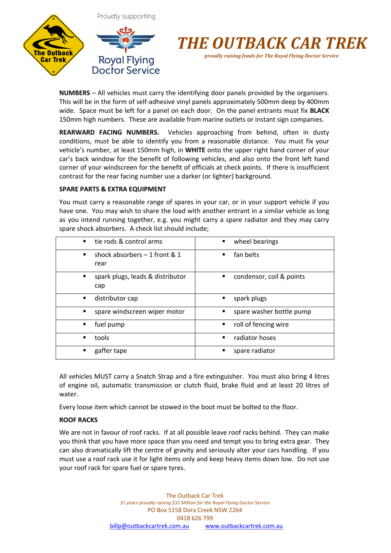



**NUMBERS** – All vehicles must carry the identifying door panels provided by the organisers. This will be in the form of self-adhesive vinyl panels approximately 500mm deep by 400mm wide. Space must be left for a panel on each door. On the panel entrants must fix **BLACK** 150mm high numbers. These are available from marine outlets or instant sign companies.

**REARWARD FACING NUMBERS.** Vehicles approaching from behind, often in dusty conditions, must be able to identify you from a reasonable distance. You must fix your vehicle's number, at least 150mm high, in **WHITE** onto the upper right hand corner of your car's back window for the benefit of following vehicles, and also onto the front left hand corner of your windscreen for the benefit of officials at check points. If there is insufficient contrast for the rear facing number use a darker (or lighter) background.

#### **SPARE PARTS & EXTRA EQUIPMENT**

You must carry a reasonable range of spares in your car, or in your support vehicle if you have one. You may wish to share the load with another entrant in a similar vehicle as long as you intend running together, e.g. you might carry a spare radiator and they may carry spare shock absorbers. A check list should include;

| tie rods & control arms                                   | wheel bearings                |
|-----------------------------------------------------------|-------------------------------|
| $\blacksquare$                                            | $\blacksquare$                |
| shock absorbers $-1$ front & 1<br>$\blacksquare$<br>rear  | fan belts<br>٠                |
| spark plugs, leads & distributor<br>$\blacksquare$<br>cap | condensor, coil & points<br>٠ |
| distributor cap                                           | spark plugs                   |
| ٠                                                         | ٠                             |
| spare windscreen wiper motor<br>٠                         | spare washer bottle pump      |
| fuel pump                                                 | roll of fencing wire          |
| ٠                                                         | ٠                             |
| tools                                                     | radiator hoses                |
| ٠                                                         | ٠                             |
| gaffer tape                                               | spare radiator                |
| ٠                                                         | ■                             |

All vehicles MUST carry a Snatch Strap and a fire extinguisher. You must also bring 4 litres of engine oil, automatic transmission or clutch fluid, brake fluid and at least 20 litres of water.

Every loose item which cannot be stowed in the boot must be bolted to the floor.

## **ROOF RACKS**

We are not in favour of roof racks. If at all possible leave roof racks behind. They can make you think that you have more space than you need and tempt you to bring extra gear. They can also dramatically lift the centre of gravity and seriously alter your cars handling. If you must use a roof rack use it for light items only and keep heavy items down low. Do not use your roof rack for spare fuel or spare tyres.